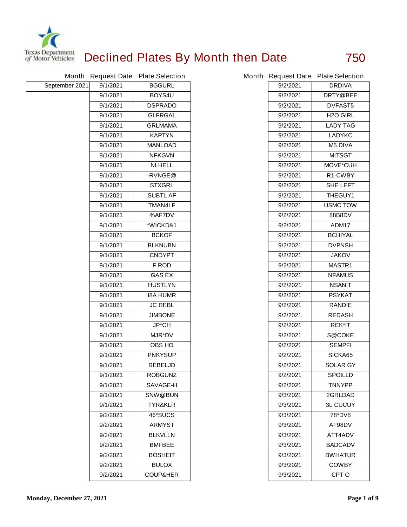

## **Declined Plates By Month then Date 750**

|                |          | Month Request Date Plate Selection |          | Month Request Date Plate Selection |
|----------------|----------|------------------------------------|----------|------------------------------------|
| September 2021 | 9/1/2021 | <b>BGGURL</b>                      | 9/2/2021 | <b>DRDIVA</b>                      |
|                | 9/1/2021 | BOYS4U                             | 9/2/2021 | <b>DRTY@BEE</b>                    |
|                | 9/1/2021 | <b>DSPRADO</b>                     | 9/2/2021 | <b>DVFAST5</b>                     |
|                | 9/1/2021 | <b>GLFRGAL</b>                     | 9/2/2021 | H <sub>20</sub> GIRL               |
|                | 9/1/2021 | <b>GRLMAMA</b>                     | 9/2/2021 | <b>LADY TAG</b>                    |
|                | 9/1/2021 | <b>KAPTYN</b>                      | 9/2/2021 | <b>LADYKC</b>                      |
|                | 9/1/2021 | <b>MANLOAD</b>                     | 9/2/2021 | <b>M5 DIVA</b>                     |
|                | 9/1/2021 | <b>NFKGVN</b>                      | 9/2/2021 | <b>MITSGT</b>                      |
|                | 9/1/2021 | <b>NLHELL</b>                      | 9/2/2021 | <b>MOVE*CUH</b>                    |
|                | 9/1/2021 | -RVNGE@                            | 9/2/2021 | R1-CWBY                            |
|                | 9/1/2021 | <b>STXGRL</b>                      | 9/2/2021 | <b>SHE LEFT</b>                    |
|                | 9/1/2021 | <b>SUBTL AF</b>                    | 9/2/2021 | <b>THEGUY1</b>                     |
|                | 9/1/2021 | <b>TMAN4LF</b>                     | 9/2/2021 | <b>USMC TOW</b>                    |
|                | 9/1/2021 | %AF7DV                             | 9/2/2021 | 88B8DV                             |
|                | 9/1/2021 | *WICKD&1                           | 9/2/2021 | <b>ADM17</b>                       |
|                | 9/1/2021 | <b>BCKOF</b>                       | 9/2/2021 | <b>BCHIYAL</b>                     |
|                | 9/1/2021 | <b>BLKNUBN</b>                     | 9/2/2021 | <b>DVPNSH</b>                      |
|                | 9/1/2021 | <b>CNDYPT</b>                      | 9/2/2021 | <b>JAKOV</b>                       |
|                | 9/1/2021 | <b>F ROD</b>                       | 9/2/2021 | <b>MASTR1</b>                      |
|                | 9/1/2021 | <b>GAS EX</b>                      | 9/2/2021 | <b>NFAMUS</b>                      |
|                | 9/1/2021 | <b>HUSTLYN</b>                     | 9/2/2021 | <b>NSANIT</b>                      |
|                | 9/1/2021 | <b>I8A HUMR</b>                    | 9/2/2021 | <b>PSYKAT</b>                      |
|                | 9/1/2021 | <b>JC REBL</b>                     | 9/2/2021 | <b>RANDIE</b>                      |
|                | 9/1/2021 | <b>JIMBONE</b>                     | 9/2/2021 | <b>REDASH</b>                      |
|                | 9/1/2021 | <b>JP*CH</b>                       | 9/2/2021 | <b>REK*IT</b>                      |
|                | 9/1/2021 | <b>MJR*DV</b>                      | 9/2/2021 | <b>S@COKE</b>                      |
|                | 9/1/2021 | <b>OBS HO</b>                      | 9/2/2021 | <b>SEMPFI</b>                      |
|                | 9/1/2021 | <b>PNKYSUP</b>                     | 9/2/2021 | SICKA65                            |
|                | 9/1/2021 | <b>REBELJD</b>                     | 9/2/2021 | <b>SOLAR GY</b>                    |
|                | 9/1/2021 | <b>ROBGUNZ</b>                     | 9/2/2021 | <b>SPOILLD</b>                     |
|                | 9/1/2021 | <b>SAVAGE-H</b>                    | 9/2/2021 | <b>TNNYPP</b>                      |
|                | 9/1/2021 | <b>SNW@BUN</b>                     | 9/3/2021 | 2GRLDAD                            |
|                | 9/1/2021 | <b>TYR&amp;KLR</b>                 | 9/3/2021 | <b>3L CUCUY</b>                    |
|                | 9/2/2021 | 46*SUCS                            | 9/3/2021 | 78*DV8                             |
|                | 9/2/2021 | <b>ARMYST</b>                      | 9/3/2021 | AF98DV                             |
|                | 9/2/2021 | <b>BLKVLLN</b>                     | 9/3/2021 | ATT4ADV                            |
|                | 9/2/2021 | <b>BMFBEE</b>                      | 9/3/2021 | <b>BADCADV</b>                     |
|                | 9/2/2021 | <b>BOSHEIT</b>                     | 9/3/2021 | <b>BWHATUR</b>                     |
|                | 9/2/2021 | <b>BULOX</b>                       | 9/3/2021 | <b>COWBY</b>                       |
|                | 9/2/2021 | <b>COUP&amp;HER</b>                | 9/3/2021 | CPT O                              |
|                |          |                                    |          |                                    |

|          |          | th Request Date Plate Selection |  |  |
|----------|----------|---------------------------------|--|--|
|          | 9/2/2021 | <b>DRDIVA</b>                   |  |  |
|          | 9/2/2021 | <b>DRTY@BEE</b>                 |  |  |
|          | 9/2/2021 | <b>DVFAST5</b>                  |  |  |
|          | 9/2/2021 | <b>H2O GIRL</b>                 |  |  |
|          | 9/2/2021 | <b>LADY TAG</b>                 |  |  |
|          | 9/2/2021 | <b>LADYKC</b>                   |  |  |
|          | 9/2/2021 | <b>M5 DIVA</b>                  |  |  |
|          | 9/2/2021 | <b>MITSGT</b>                   |  |  |
|          | 9/2/2021 | <b>MOVE*CUH</b>                 |  |  |
|          | 9/2/2021 | <b>R1-CWBY</b>                  |  |  |
|          | 9/2/2021 | SHE LEFT                        |  |  |
|          | 9/2/2021 | <b>THEGUY1</b>                  |  |  |
|          | 9/2/2021 | <b>USMC TOW</b>                 |  |  |
|          | 9/2/2021 | 88B8DV                          |  |  |
|          | 9/2/2021 | ADM17                           |  |  |
|          | 9/2/2021 | <b>BCHIYAL</b>                  |  |  |
|          | 9/2/2021 | <b>DVPNSH</b>                   |  |  |
|          | 9/2/2021 | <b>JAKOV</b>                    |  |  |
|          | 9/2/2021 | <b>MASTR1</b>                   |  |  |
|          | 9/2/2021 | <b>NFAMUS</b>                   |  |  |
|          | 9/2/2021 | NSANIT                          |  |  |
|          | 9/2/2021 | <b>PSYKAT</b>                   |  |  |
|          | 9/2/2021 | <b>RANDIE</b>                   |  |  |
|          | 9/2/2021 | <b>REDASH</b>                   |  |  |
|          | 9/2/2021 | <b>REK*IT</b>                   |  |  |
| 9/2/2021 |          | <b>S@COKE</b>                   |  |  |
|          | 9/2/2021 | <b>SEMPFI</b>                   |  |  |
|          | 9/2/2021 | SICKA65                         |  |  |
|          | 9/2/2021 | <b>SOLAR GY</b>                 |  |  |
|          | 9/2/2021 | SPOILLD                         |  |  |
|          | 9/2/2021 | TNNYPP                          |  |  |
|          | 9/3/2021 | <b>2GRLDAD</b>                  |  |  |
|          | 9/3/2021 | <b>3L CUCUY</b>                 |  |  |
|          | 9/3/2021 | 78*DV8                          |  |  |
|          | 9/3/2021 | AF98DV                          |  |  |
|          | 9/3/2021 | ATT4ADV                         |  |  |
|          | 9/3/2021 | <b>BADCADV</b>                  |  |  |
|          | 9/3/2021 | <b>BWHATUR</b>                  |  |  |
|          | 9/3/2021 | <b>COWBY</b>                    |  |  |
|          | 9/3/2021 | CPT O                           |  |  |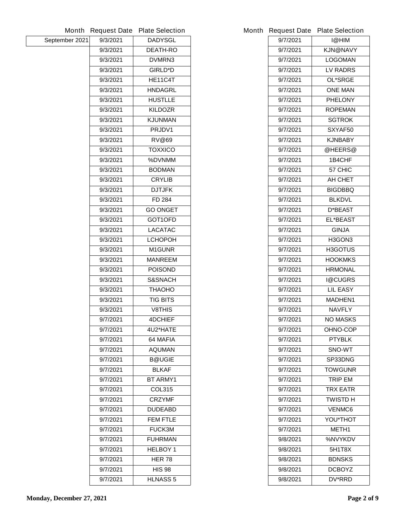|                |          | Month Request Date Plate Selection | <b>Month Request Date</b> | <b>Plate Selection</b> |
|----------------|----------|------------------------------------|---------------------------|------------------------|
| September 2021 | 9/3/2021 | <b>DADYSGL</b>                     | 9/7/2021                  | <b>I@HIM</b>           |
|                | 9/3/2021 | <b>DEATH-RO</b>                    | 9/7/2021                  | <b>KJN@NAVY</b>        |
|                | 9/3/2021 | DVMRN3                             | 9/7/2021                  | <b>LOGOMAN</b>         |
|                | 9/3/2021 | <b>GIRLD*D</b>                     | 9/7/2021                  | <b>LV RADRS</b>        |
|                | 9/3/2021 | HE11C4T                            | 9/7/2021                  | <b>OL*SRGE</b>         |
|                | 9/3/2021 | <b>HNDAGRL</b>                     | 9/7/2021                  | <b>ONE MAN</b>         |
|                | 9/3/2021 | <b>HUSTLLE</b>                     | 9/7/2021                  | <b>PHELONY</b>         |
|                | 9/3/2021 | <b>KILDOZR</b>                     | 9/7/2021                  | <b>ROPEMAN</b>         |
|                | 9/3/2021 | <b>KJUNMAN</b>                     | 9/7/2021                  | <b>SGTROK</b>          |
|                | 9/3/2021 | PRJDV1                             | 9/7/2021                  | SXYAF50                |
|                | 9/3/2021 | <b>RV@69</b>                       | 9/7/2021                  | <b>KJNBABY</b>         |
|                | 9/3/2021 | <b>TOXXICO</b>                     | 9/7/2021                  | @HEERS@                |
|                | 9/3/2021 | %DVNMM                             | 9/7/2021                  | 1B4CHF                 |
|                | 9/3/2021 | <b>BODMAN</b>                      | 9/7/2021                  | 57 CHIC                |
|                | 9/3/2021 | <b>CRYLIB</b>                      | 9/7/2021                  | <b>AH CHET</b>         |
|                | 9/3/2021 | <b>DJTJFK</b>                      | 9/7/2021                  | <b>BIGDBBQ</b>         |
|                | 9/3/2021 | FD 284                             | 9/7/2021                  | <b>BLKDVL</b>          |
|                | 9/3/2021 | <b>GO ONGET</b>                    | 9/7/2021                  | D*BEA5T                |
|                | 9/3/2021 | GOT1OFD                            | 9/7/2021                  | <b>EL*BEAST</b>        |
|                | 9/3/2021 | <b>LACATAC</b>                     | 9/7/2021                  | <b>GINJA</b>           |
|                | 9/3/2021 | <b>LCHOPOH</b>                     | 9/7/2021                  | H3GON3                 |
|                | 9/3/2021 | <b>M1GUNR</b>                      | 9/7/2021                  | H3GOTUS                |
|                | 9/3/2021 | <b>MANREEM</b>                     | 9/7/2021                  | <b>HOOKMKS</b>         |
|                | 9/3/2021 | <b>POISOND</b>                     | 9/7/2021                  | <b>HRMONAL</b>         |
|                | 9/3/2021 | <b>S&amp;SNACH</b>                 | 9/7/2021                  | <b>I@CUGRS</b>         |
|                | 9/3/2021 | <b>THAOHO</b>                      | 9/7/2021                  | <b>LIL EASY</b>        |
|                | 9/3/2021 | <b>TIG BITS</b>                    | 9/7/2021                  | <b>MADHEN1</b>         |
|                | 9/3/2021 | <b>V8THIS</b>                      | 9/7/2021                  | <b>NAVFLY</b>          |
|                | 9/7/2021 | <b>4DCHIEF</b>                     | 9/7/2021                  | <b>NO MASKS</b>        |
|                | 9/7/2021 | 4U2*HATE                           | 9/7/2021                  | <b>OHNO-COP</b>        |
|                | 9/7/2021 | 64 MAFIA                           | 9/7/2021                  | <b>PTYBLK</b>          |
|                | 9/7/2021 | <b>AQUMAN</b>                      | 9/7/2021                  | <b>SNO-WT</b>          |
|                | 9/7/2021 | <b>B@UGIE</b>                      | 9/7/2021                  | SP33DNG                |
|                | 9/7/2021 | <b>BLKAF</b>                       | 9/7/2021                  | <b>TOWGUNR</b>         |
|                | 9/7/2021 | <b>BT ARMY1</b>                    | 9/7/2021                  | <b>TRIP EM</b>         |
|                | 9/7/2021 | <b>COL315</b>                      | 9/7/2021                  | <b>TRX EATR</b>        |
|                | 9/7/2021 | <b>CRZYMF</b>                      | 9/7/2021                  | <b>TWISTD H</b>        |
|                | 9/7/2021 | <b>DUDEABD</b>                     | 9/7/2021                  | <b>VENMC6</b>          |
|                | 9/7/2021 | <b>FEM FTLE</b>                    | 9/7/2021                  | YOU*THOT               |
|                | 9/7/2021 | <b>FUCK3M</b>                      | 9/7/2021                  | <b>METH1</b>           |
|                | 9/7/2021 | <b>FUHRMAN</b>                     | 9/8/2021                  | %NVYKDV                |
|                | 9/7/2021 | <b>HELBOY 1</b>                    | 9/8/2021                  | <b>5H1T8X</b>          |
|                | 9/7/2021 | <b>HER 78</b>                      | 9/8/2021                  | <b>BDNSKS</b>          |
|                | 9/7/2021 | <b>HIS 98</b>                      | 9/8/2021                  | <b>DCBOYZ</b>          |
|                | 9/7/2021 | <b>HLNASS 5</b>                    | 9/8/2021                  | DV*RRD                 |
|                |          |                                    |                           |                        |

| 9/7/2021<br>I@HIM<br>9/7/2021<br>KJN@NAVY<br>9/7/2021<br><b>LOGOMAN</b><br><b>LV RADRS</b><br>9/7/2021<br>9/7/2021<br><b>OL*SRGE</b><br>9/7/2021<br>ONE MAN<br>9/7/2021<br><b>PHELONY</b><br>9/7/2021<br><b>ROPEMAN</b><br>9/7/2021<br><b>SGTROK</b><br>9/7/2021<br>SXYAF50<br>9/7/2021<br>KJNBABY<br>@HEERS@<br>9/7/2021<br><b>1B4CHF</b><br>9/7/2021<br>57 CHIC<br>9/7/2021<br>9/7/2021<br>AH CHET<br><b>BIGDBBQ</b><br>9/7/2021<br><b>BLKDVL</b><br>9/7/2021<br>D*BEA5T<br>9/7/2021<br>9/7/2021<br><b>EL*BEAST</b><br>9/7/2021<br><b>GINJA</b><br>9/7/2021<br>H3GON3<br><b>H3GOTUS</b><br>9/7/2021<br>9/7/2021<br><b>HOOKMKS</b><br><b>HRMONAL</b><br>9/7/2021<br><b>I@CUGRS</b><br>9/7/2021<br><b>LIL EASY</b><br>9/7/2021<br>9/7/2021<br><b>MADHEN1</b><br><b>NAVFLY</b><br>9/7/2021<br><b>NO MASKS</b><br>9/7/2021<br><b>OHNO-COP</b><br>9/7/2021<br><b>PTYBLK</b><br>9/7/2021<br><b>SNO-WT</b><br>9/7/2021<br><b>SP33DNG</b><br>9/7/2021<br><b>TOWGUNR</b><br>9/7/2021<br><b>TRIP EM</b><br>9/7/2021<br><b>TRX EATR</b><br>9/7/2021<br>TWISTD H<br>9/7/2021<br><b>VENMC6</b><br>9/7/2021<br>ΥΟU*ΤΗΟΤ<br>9/7/2021<br>9/7/2021<br><b>METH1</b><br>%NVYKDV<br>9/8/2021<br>5H1T8X<br>9/8/2021<br><b>BDNSKS</b><br>9/8/2021<br>9/8/2021<br><b>DCBOYZ</b><br><b>DV*RRD</b><br>9/8/2021 | <b>Request Date Plate Selection</b> |
|-----------------------------------------------------------------------------------------------------------------------------------------------------------------------------------------------------------------------------------------------------------------------------------------------------------------------------------------------------------------------------------------------------------------------------------------------------------------------------------------------------------------------------------------------------------------------------------------------------------------------------------------------------------------------------------------------------------------------------------------------------------------------------------------------------------------------------------------------------------------------------------------------------------------------------------------------------------------------------------------------------------------------------------------------------------------------------------------------------------------------------------------------------------------------------------------------------------------------------------------------------------------------------------------|-------------------------------------|
|                                                                                                                                                                                                                                                                                                                                                                                                                                                                                                                                                                                                                                                                                                                                                                                                                                                                                                                                                                                                                                                                                                                                                                                                                                                                                         |                                     |
|                                                                                                                                                                                                                                                                                                                                                                                                                                                                                                                                                                                                                                                                                                                                                                                                                                                                                                                                                                                                                                                                                                                                                                                                                                                                                         |                                     |
|                                                                                                                                                                                                                                                                                                                                                                                                                                                                                                                                                                                                                                                                                                                                                                                                                                                                                                                                                                                                                                                                                                                                                                                                                                                                                         |                                     |
|                                                                                                                                                                                                                                                                                                                                                                                                                                                                                                                                                                                                                                                                                                                                                                                                                                                                                                                                                                                                                                                                                                                                                                                                                                                                                         |                                     |
|                                                                                                                                                                                                                                                                                                                                                                                                                                                                                                                                                                                                                                                                                                                                                                                                                                                                                                                                                                                                                                                                                                                                                                                                                                                                                         |                                     |
|                                                                                                                                                                                                                                                                                                                                                                                                                                                                                                                                                                                                                                                                                                                                                                                                                                                                                                                                                                                                                                                                                                                                                                                                                                                                                         |                                     |
|                                                                                                                                                                                                                                                                                                                                                                                                                                                                                                                                                                                                                                                                                                                                                                                                                                                                                                                                                                                                                                                                                                                                                                                                                                                                                         |                                     |
|                                                                                                                                                                                                                                                                                                                                                                                                                                                                                                                                                                                                                                                                                                                                                                                                                                                                                                                                                                                                                                                                                                                                                                                                                                                                                         |                                     |
|                                                                                                                                                                                                                                                                                                                                                                                                                                                                                                                                                                                                                                                                                                                                                                                                                                                                                                                                                                                                                                                                                                                                                                                                                                                                                         |                                     |
|                                                                                                                                                                                                                                                                                                                                                                                                                                                                                                                                                                                                                                                                                                                                                                                                                                                                                                                                                                                                                                                                                                                                                                                                                                                                                         |                                     |
|                                                                                                                                                                                                                                                                                                                                                                                                                                                                                                                                                                                                                                                                                                                                                                                                                                                                                                                                                                                                                                                                                                                                                                                                                                                                                         |                                     |
|                                                                                                                                                                                                                                                                                                                                                                                                                                                                                                                                                                                                                                                                                                                                                                                                                                                                                                                                                                                                                                                                                                                                                                                                                                                                                         |                                     |
|                                                                                                                                                                                                                                                                                                                                                                                                                                                                                                                                                                                                                                                                                                                                                                                                                                                                                                                                                                                                                                                                                                                                                                                                                                                                                         |                                     |
|                                                                                                                                                                                                                                                                                                                                                                                                                                                                                                                                                                                                                                                                                                                                                                                                                                                                                                                                                                                                                                                                                                                                                                                                                                                                                         |                                     |
|                                                                                                                                                                                                                                                                                                                                                                                                                                                                                                                                                                                                                                                                                                                                                                                                                                                                                                                                                                                                                                                                                                                                                                                                                                                                                         |                                     |
|                                                                                                                                                                                                                                                                                                                                                                                                                                                                                                                                                                                                                                                                                                                                                                                                                                                                                                                                                                                                                                                                                                                                                                                                                                                                                         |                                     |
|                                                                                                                                                                                                                                                                                                                                                                                                                                                                                                                                                                                                                                                                                                                                                                                                                                                                                                                                                                                                                                                                                                                                                                                                                                                                                         |                                     |
|                                                                                                                                                                                                                                                                                                                                                                                                                                                                                                                                                                                                                                                                                                                                                                                                                                                                                                                                                                                                                                                                                                                                                                                                                                                                                         |                                     |
|                                                                                                                                                                                                                                                                                                                                                                                                                                                                                                                                                                                                                                                                                                                                                                                                                                                                                                                                                                                                                                                                                                                                                                                                                                                                                         |                                     |
|                                                                                                                                                                                                                                                                                                                                                                                                                                                                                                                                                                                                                                                                                                                                                                                                                                                                                                                                                                                                                                                                                                                                                                                                                                                                                         |                                     |
|                                                                                                                                                                                                                                                                                                                                                                                                                                                                                                                                                                                                                                                                                                                                                                                                                                                                                                                                                                                                                                                                                                                                                                                                                                                                                         |                                     |
|                                                                                                                                                                                                                                                                                                                                                                                                                                                                                                                                                                                                                                                                                                                                                                                                                                                                                                                                                                                                                                                                                                                                                                                                                                                                                         |                                     |
|                                                                                                                                                                                                                                                                                                                                                                                                                                                                                                                                                                                                                                                                                                                                                                                                                                                                                                                                                                                                                                                                                                                                                                                                                                                                                         |                                     |
|                                                                                                                                                                                                                                                                                                                                                                                                                                                                                                                                                                                                                                                                                                                                                                                                                                                                                                                                                                                                                                                                                                                                                                                                                                                                                         |                                     |
|                                                                                                                                                                                                                                                                                                                                                                                                                                                                                                                                                                                                                                                                                                                                                                                                                                                                                                                                                                                                                                                                                                                                                                                                                                                                                         |                                     |
|                                                                                                                                                                                                                                                                                                                                                                                                                                                                                                                                                                                                                                                                                                                                                                                                                                                                                                                                                                                                                                                                                                                                                                                                                                                                                         |                                     |
|                                                                                                                                                                                                                                                                                                                                                                                                                                                                                                                                                                                                                                                                                                                                                                                                                                                                                                                                                                                                                                                                                                                                                                                                                                                                                         |                                     |
|                                                                                                                                                                                                                                                                                                                                                                                                                                                                                                                                                                                                                                                                                                                                                                                                                                                                                                                                                                                                                                                                                                                                                                                                                                                                                         |                                     |
|                                                                                                                                                                                                                                                                                                                                                                                                                                                                                                                                                                                                                                                                                                                                                                                                                                                                                                                                                                                                                                                                                                                                                                                                                                                                                         |                                     |
|                                                                                                                                                                                                                                                                                                                                                                                                                                                                                                                                                                                                                                                                                                                                                                                                                                                                                                                                                                                                                                                                                                                                                                                                                                                                                         |                                     |
|                                                                                                                                                                                                                                                                                                                                                                                                                                                                                                                                                                                                                                                                                                                                                                                                                                                                                                                                                                                                                                                                                                                                                                                                                                                                                         |                                     |
|                                                                                                                                                                                                                                                                                                                                                                                                                                                                                                                                                                                                                                                                                                                                                                                                                                                                                                                                                                                                                                                                                                                                                                                                                                                                                         |                                     |
|                                                                                                                                                                                                                                                                                                                                                                                                                                                                                                                                                                                                                                                                                                                                                                                                                                                                                                                                                                                                                                                                                                                                                                                                                                                                                         |                                     |
|                                                                                                                                                                                                                                                                                                                                                                                                                                                                                                                                                                                                                                                                                                                                                                                                                                                                                                                                                                                                                                                                                                                                                                                                                                                                                         |                                     |
|                                                                                                                                                                                                                                                                                                                                                                                                                                                                                                                                                                                                                                                                                                                                                                                                                                                                                                                                                                                                                                                                                                                                                                                                                                                                                         |                                     |
|                                                                                                                                                                                                                                                                                                                                                                                                                                                                                                                                                                                                                                                                                                                                                                                                                                                                                                                                                                                                                                                                                                                                                                                                                                                                                         |                                     |
|                                                                                                                                                                                                                                                                                                                                                                                                                                                                                                                                                                                                                                                                                                                                                                                                                                                                                                                                                                                                                                                                                                                                                                                                                                                                                         |                                     |
|                                                                                                                                                                                                                                                                                                                                                                                                                                                                                                                                                                                                                                                                                                                                                                                                                                                                                                                                                                                                                                                                                                                                                                                                                                                                                         |                                     |
|                                                                                                                                                                                                                                                                                                                                                                                                                                                                                                                                                                                                                                                                                                                                                                                                                                                                                                                                                                                                                                                                                                                                                                                                                                                                                         |                                     |
|                                                                                                                                                                                                                                                                                                                                                                                                                                                                                                                                                                                                                                                                                                                                                                                                                                                                                                                                                                                                                                                                                                                                                                                                                                                                                         |                                     |
|                                                                                                                                                                                                                                                                                                                                                                                                                                                                                                                                                                                                                                                                                                                                                                                                                                                                                                                                                                                                                                                                                                                                                                                                                                                                                         |                                     |
|                                                                                                                                                                                                                                                                                                                                                                                                                                                                                                                                                                                                                                                                                                                                                                                                                                                                                                                                                                                                                                                                                                                                                                                                                                                                                         |                                     |
|                                                                                                                                                                                                                                                                                                                                                                                                                                                                                                                                                                                                                                                                                                                                                                                                                                                                                                                                                                                                                                                                                                                                                                                                                                                                                         |                                     |
|                                                                                                                                                                                                                                                                                                                                                                                                                                                                                                                                                                                                                                                                                                                                                                                                                                                                                                                                                                                                                                                                                                                                                                                                                                                                                         |                                     |
|                                                                                                                                                                                                                                                                                                                                                                                                                                                                                                                                                                                                                                                                                                                                                                                                                                                                                                                                                                                                                                                                                                                                                                                                                                                                                         |                                     |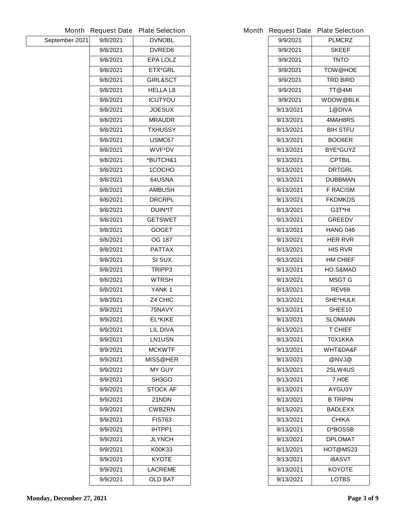|                |          | Month Request Date Plate Selection |           | Month Request Date Plate Selection |
|----------------|----------|------------------------------------|-----------|------------------------------------|
| September 2021 | 9/8/2021 | <b>DVNOBL</b>                      | 9/9/2021  | <b>PLMCRZ</b>                      |
|                | 9/8/2021 | <b>DVRED6</b>                      | 9/9/2021  | <b>SKEEF</b>                       |
|                | 9/8/2021 | <b>EPA LOLZ</b>                    | 9/9/2021  | <b>TNTO</b>                        |
|                | 9/8/2021 | <b>ETX*GRL</b>                     | 9/9/2021  | <b>TOW@HOE</b>                     |
|                | 9/8/2021 | GIRL&SCT                           | 9/9/2021  | <b>TRD BIRD</b>                    |
|                | 9/8/2021 | <b>HELLAL8</b>                     | 9/9/2021  | TT@4MI                             |
|                | 9/8/2021 | <b>ICUTYOU</b>                     | 9/9/2021  | <b>WDOW@BLK</b>                    |
|                | 9/8/2021 | <b>JOESUX</b>                      | 9/13/2021 | 1@DIVA                             |
|                | 9/8/2021 | <b>MRAUDR</b>                      | 9/13/2021 | 4MAH8RS                            |
|                | 9/8/2021 | <b>TXHUSSY</b>                     | 9/13/2021 | <b>BIH STFU</b>                    |
|                | 9/8/2021 | USMC67                             | 9/13/2021 | BOO6ER                             |
|                | 9/8/2021 | <b>WVF*DV</b>                      | 9/13/2021 | <b>BYE*GUYZ</b>                    |
|                | 9/8/2021 | *BUTCH&1                           | 9/13/2021 | <b>CPTBIL</b>                      |
|                | 9/8/2021 | 1COCHO                             | 9/13/2021 | <b>DRTGRL</b>                      |
|                | 9/8/2021 | 64USNA                             | 9/13/2021 | <b>DUBBMAN</b>                     |
|                | 9/8/2021 | <b>AMBUSH</b>                      | 9/13/2021 | <b>F RACISM</b>                    |
|                | 9/8/2021 | <b>DRCRPL</b>                      | 9/13/2021 | <b>FKDMKDS</b>                     |
|                | 9/8/2021 | <b>DUIN*IT</b>                     | 9/13/2021 | G3T*HI                             |
|                | 9/8/2021 | <b>GETSWET</b>                     | 9/13/2021 | <b>GREEDV</b>                      |
|                | 9/8/2021 | <b>GOGET</b>                       | 9/13/2021 | <b>HANG 046</b>                    |
|                | 9/8/2021 | <b>OG 187</b>                      | 9/13/2021 | <b>HER RVR</b>                     |
|                | 9/8/2021 | <b>PATTAX</b>                      | 9/13/2021 | <b>HIS RVR</b>                     |
|                | 9/8/2021 | <b>SI SUX</b>                      | 9/13/2021 | <b>HM CHIEF</b>                    |
|                | 9/8/2021 | TRIPP3                             | 9/13/2021 | HO.S&MAD                           |
|                | 9/8/2021 | <b>WTRSH</b>                       | 9/13/2021 | <b>MSGT G</b>                      |
|                | 9/8/2021 | YANK <sub>1</sub>                  | 9/13/2021 | <b>REV69</b>                       |
|                | 9/8/2021 | Z4 CHIC                            | 9/13/2021 | <b>SHE*HULK</b>                    |
|                | 9/9/2021 | 75NAVY                             | 9/13/2021 | SHEE10                             |
|                | 9/9/2021 | <b>EL*KIKE</b>                     | 9/13/2021 | <b>SLOMANN</b>                     |
|                | 9/9/2021 | <b>LIL DIVA</b>                    | 9/13/2021 | <b>T CHIEF</b>                     |
|                | 9/9/2021 | <b>LN1USN</b>                      | 9/13/2021 | T0X1KKA                            |
|                | 9/9/2021 | <b>MCKWTF</b>                      | 9/13/2021 | <b>WHT&amp;DA&amp;F</b>            |
|                | 9/9/2021 | <b>MISS@HER</b>                    | 9/13/2021 | @NVJ@                              |
|                | 9/9/2021 | <b>MY GUY</b>                      | 9/13/2021 | 2SLW4US                            |
|                | 9/9/2021 | SH3GO                              | 9/13/2021 | 7.H0E                              |
|                | 9/9/2021 | <b>STOCK AF</b>                    | 9/13/2021 | AYGU3Y                             |
|                | 9/9/2021 | 21NDN                              | 9/13/2021 | <b>B TRIPIN</b>                    |
|                | 9/9/2021 | <b>CWBZRN</b>                      | 9/13/2021 | <b>BADLEXX</b>                     |
|                | 9/9/2021 | <b>FIST63</b>                      | 9/13/2021 | <b>CHIKA</b>                       |
|                | 9/9/2021 | IHTPP1                             | 9/13/2021 | <b>D*BOSSB</b>                     |
|                | 9/9/2021 | <b>JLYNCH</b>                      | 9/13/2021 | <b>DPLOMAT</b>                     |
|                | 9/9/2021 | K00K33                             | 9/13/2021 | HOT@MS23                           |
|                | 9/9/2021 | <b>KYOTE</b>                       | 9/13/2021 | <b>I8ASVT</b>                      |
|                | 9/9/2021 | <b>LACREME</b>                     | 9/13/2021 | <b>KOYOTE</b>                      |
|                | 9/9/2021 | <b>OLD BAT</b>                     | 9/13/2021 | <b>LOTBS</b>                       |
|                |          |                                    |           |                                    |

| 9/9/2021  | <b>PLMCRZ</b>   |
|-----------|-----------------|
| 9/9/2021  | SKEEF           |
| 9/9/2021  | <b>TNTO</b>     |
| 9/9/2021  | <b>TOW@HOE</b>  |
| 9/9/2021  | TRD BIRD        |
| 9/9/2021  | TT@4MI          |
| 9/9/2021  | <b>WDOW@BLK</b> |
| 9/13/2021 | 1@DIVA          |
| 9/13/2021 | <b>4MAH8RS</b>  |
| 9/13/2021 | <b>BIH STFU</b> |
| 9/13/2021 | <b>BOO6ER</b>   |
| 9/13/2021 | <b>BYE*GUYZ</b> |
| 9/13/2021 | <b>CPTBIL</b>   |
| 9/13/2021 | <b>DRTGRL</b>   |
| 9/13/2021 | <b>DUBBMAN</b>  |
| 9/13/2021 | <b>F RACISM</b> |
| 9/13/2021 | <b>FKDMKDS</b>  |
| 9/13/2021 | G3T*HI          |
| 9/13/2021 | <b>GREEDV</b>   |
| 9/13/2021 | <b>HANG 046</b> |
| 9/13/2021 | <b>HER RVR</b>  |
| 9/13/2021 | HIS RVR         |
| 9/13/2021 | <b>HM CHIEF</b> |
| 9/13/2021 | HO.S&MAD        |
| 9/13/2021 | <b>MSGT G</b>   |
| 9/13/2021 | REV69           |
| 9/13/2021 | <b>SHE*HULK</b> |
| 9/13/2021 | <b>SHEE10</b>   |
| 9/13/2021 | <b>SLOMANN</b>  |
| 9/13/2021 | T CHIEF         |
| 9/13/2021 | T0X1KKA         |
| 9/13/2021 | WHT&DA&F        |
| 9/13/2021 | @NVJ@           |
| 9/13/2021 | <b>2SLW4US</b>  |
| 9/13/2021 | 7.H0E           |
| 9/13/2021 | AYGU3Y          |
| 9/13/2021 | <b>B TRIPIN</b> |
| 9/13/2021 | <b>BADLEXX</b>  |
| 9/13/2021 | <b>CHIKA</b>    |
| 9/13/2021 | <b>D*BOSSB</b>  |
| 9/13/2021 | DPLOMAT         |
| 9/13/2021 | <b>HOT@MS23</b> |
| 9/13/2021 | <b>I8ASVT</b>   |
| 9/13/2021 | <b>KOYOTE</b>   |
| 9/13/2021 | LOTBS           |
|           |                 |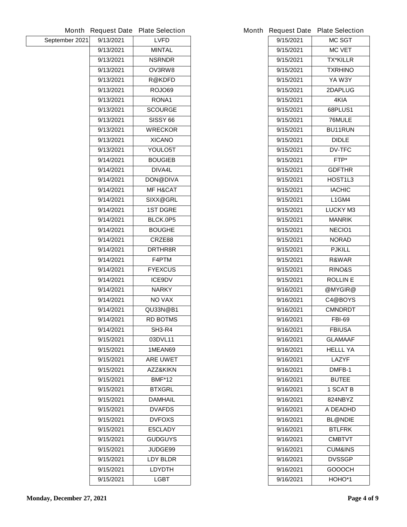| Month<br><b>Plate Selection</b><br><b>Request Date</b> |  |
|--------------------------------------------------------|--|
| September 2021<br>9/13/2021<br><b>LVFD</b>             |  |
| 9/13/2021<br><b>MINTAL</b>                             |  |
| 9/13/2021<br><b>NSRNDR</b>                             |  |
| 9/13/2021<br>OV3RW8                                    |  |
| 9/13/2021<br><b>R@KDFD</b>                             |  |
| 9/13/2021<br><b>ROJO69</b>                             |  |
| 9/13/2021<br><b>RONA1</b>                              |  |
| 9/13/2021<br><b>SCOURGE</b>                            |  |
| 9/13/2021<br><b>SISSY 66</b>                           |  |
| 9/13/2021<br><b>WRECKOR</b>                            |  |
| 9/13/2021<br><b>XICANO</b>                             |  |
| 9/13/2021<br>YOULO5T                                   |  |
| 9/14/2021<br><b>BOUGIEB</b>                            |  |
| 9/14/2021<br>DIVA4L                                    |  |
| 9/14/2021<br><b>DON@DIVA</b>                           |  |
| 9/14/2021<br><b>MF H&amp;CAT</b>                       |  |
| 9/14/2021<br><b>SIXX@GRL</b>                           |  |
| 9/14/2021<br><b>1ST DGRE</b>                           |  |
| 9/14/2021<br>BLCK.0P5                                  |  |
| 9/14/2021<br><b>BOUGHE</b>                             |  |
| 9/14/2021<br>CRZE88                                    |  |
| 9/14/2021<br><b>DRTHR8R</b>                            |  |
| 9/14/2021<br>F4PTM                                     |  |
| 9/14/2021<br><b>FYEXCUS</b>                            |  |
| 9/14/2021<br><b>ICE9DV</b>                             |  |
| 9/14/2021<br><b>NARKY</b>                              |  |
| <b>NO VAX</b><br>9/14/2021                             |  |
| QU33N@B1<br>9/14/2021                                  |  |
| 9/14/2021<br><b>RD BOTMS</b>                           |  |
| 9/14/2021<br>SH3-R4                                    |  |
| 9/15/2021<br>03DVL11                                   |  |
| 9/15/2021<br>1MEAN69                                   |  |
| 9/15/2021<br><b>ARE UWET</b>                           |  |
| 9/15/2021<br>AZZ&KIKN                                  |  |
| 9/15/2021<br><b>BMF*12</b>                             |  |
| 9/15/2021<br><b>BTXGRL</b>                             |  |
| 9/15/2021<br><b>DAMHAIL</b>                            |  |
| 9/15/2021<br><b>DVAFDS</b>                             |  |
| 9/15/2021<br><b>DVFOXS</b>                             |  |
| 9/15/2021<br>E5CLADY                                   |  |
| 9/15/2021<br><b>GUDGUYS</b>                            |  |
| 9/15/2021<br><b>JUDGE99</b>                            |  |
| 9/15/2021<br>LDY BLDR                                  |  |
| 9/15/2021<br><b>LDYDTH</b>                             |  |
|                                                        |  |

|           | Month Request Date Plate Selection |
|-----------|------------------------------------|
| 9/15/2021 | <b>MC SGT</b>                      |
| 9/15/2021 | <b>MC VET</b>                      |
| 9/15/2021 | <b>TX*KILLR</b>                    |
| 9/15/2021 | <b>TXRHINO</b>                     |
| 9/15/2021 | YA W3Y                             |
| 9/15/2021 | 2DAPLUG                            |
| 9/15/2021 | 4KIA                               |
| 9/15/2021 | 68PLUS1                            |
| 9/15/2021 | 76MULE                             |
| 9/15/2021 | <b>BU11RUN</b>                     |
| 9/15/2021 | <b>DIDLE</b>                       |
| 9/15/2021 | <b>DV-TFC</b>                      |
| 9/15/2021 | FTP*                               |
| 9/15/2021 | <b>GDFTHR</b>                      |
| 9/15/2021 | HOST1L3                            |
| 9/15/2021 | <b>IACHIC</b>                      |
| 9/15/2021 | L1GM4                              |
| 9/15/2021 | <b>LUCKY M3</b>                    |
| 9/15/2021 | <b>MANRIK</b>                      |
| 9/15/2021 | <b>NECIO1</b>                      |
| 9/15/2021 | <b>NORAD</b>                       |
| 9/15/2021 | <b>PJKILL</b>                      |
| 9/15/2021 | <b>R&amp;WAR</b>                   |
| 9/15/2021 | <b>RINO&amp;S</b>                  |
| 9/15/2021 | <b>ROLLIN E</b>                    |
| 9/16/2021 | @MYGIR@                            |
| 9/16/2021 | C4@BOYS                            |
| 9/16/2021 | <b>CMNDRDT</b>                     |
| 9/16/2021 | <b>FBI-69</b>                      |
| 9/16/2021 | <b>FBIUSA</b>                      |
| 9/16/2021 | <b>GLAMAAF</b>                     |
| 9/16/2021 | HELLL YA                           |
| 9/16/2021 | <b>LAZYF</b>                       |
| 9/16/2021 | <b>DMFB-1</b>                      |
| 9/16/2021 | <b>BUTEE</b>                       |
| 9/16/2021 | 1 SCAT B                           |
| 9/16/2021 | 824NBYZ                            |
| 9/16/2021 | A DEADHD                           |
| 9/16/2021 | <b>BL@NDIE</b>                     |
| 9/16/2021 | <b>BTLFRK</b>                      |
| 9/16/2021 | <b>CMBTVT</b>                      |
| 9/16/2021 | CUM&INS                            |
| 9/16/2021 | <b>DVSSGP</b>                      |
| 9/16/2021 | <b>GOOOCH</b>                      |
| 9/16/2021 | <b>HOHO*1</b>                      |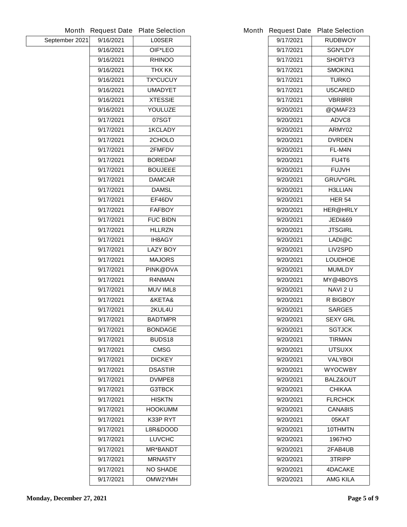|                | <b>Month Request Date</b> | <b>Plate Selection</b> | <b>Month Request Date</b> | <b>Plate Selection</b> |
|----------------|---------------------------|------------------------|---------------------------|------------------------|
| September 2021 | 9/16/2021                 | <b>LOOSER</b>          | 9/17/2021                 | <b>RUDBWOY</b>         |
|                | 9/16/2021                 | OIF*LEO                | 9/17/2021                 | <b>SGN*LDY</b>         |
|                | 9/16/2021                 | <b>RHINOO</b>          | 9/17/2021                 | SHORTY3                |
|                | 9/16/2021                 | <b>THX KK</b>          | 9/17/2021                 | SMOKIN1                |
|                | 9/16/2021                 | <b>TX*CUCUY</b>        | 9/17/2021                 | <b>TURKO</b>           |
|                | 9/16/2021                 | <b>UMADYET</b>         | 9/17/2021                 | <b>U5CARED</b>         |
|                | 9/16/2021                 | <b>XTESSIE</b>         | 9/17/2021                 | <b>VBR8RR</b>          |
|                | 9/16/2021                 | <b>YOULUZE</b>         | 9/20/2021                 | @QMAF23                |
|                | 9/17/2021                 | 07SGT                  | 9/20/2021                 | ADVC8                  |
|                | 9/17/2021                 | <b>1KCLADY</b>         | 9/20/2021                 | ARMY02                 |
|                | 9/17/2021                 | 2CHOLO                 | 9/20/2021                 | <b>DVRDEN</b>          |
|                | 9/17/2021                 | 2FMFDV                 | 9/20/2021                 | FL-M4N                 |
|                | 9/17/2021                 | <b>BOREDAF</b>         | 9/20/2021                 | <b>FU4T6</b>           |
|                | 9/17/2021                 | <b>BOUJEEE</b>         | 9/20/2021                 | <b>FUJVH</b>           |
|                | 9/17/2021                 | <b>DAMCAR</b>          | 9/20/2021                 | <b>GRUV*GRL</b>        |
|                | 9/17/2021                 | <b>DAMSL</b>           | 9/20/2021                 | <b>H3LLIAN</b>         |
|                | 9/17/2021                 | EF46DV                 | 9/20/2021                 | <b>HER 54</b>          |
|                | 9/17/2021                 | <b>FAFBOY</b>          | 9/20/2021                 | <b>HER@HRLY</b>        |
|                | 9/17/2021                 | <b>FUC BIDN</b>        | 9/20/2021                 | <b>JEDI&amp;69</b>     |
|                | 9/17/2021                 | <b>HLLRZN</b>          | 9/20/2021                 | <b>JTSGIRL</b>         |
|                | 9/17/2021                 | <b>IH8AGY</b>          | 9/20/2021                 | LADI@C                 |
|                | 9/17/2021                 | <b>LAZY BOY</b>        | 9/20/2021                 | LIV2SPD                |
|                | 9/17/2021                 | <b>MAJORS</b>          | 9/20/2021                 | <b>LOUDHOE</b>         |
|                | 9/17/2021                 | <b>PINK@DVA</b>        | 9/20/2021                 | <b>MUMLDY</b>          |
|                | 9/17/2021                 | R4NMAN                 | 9/20/2021                 | MY@4BOYS               |
|                | 9/17/2021                 | <b>MUV IML8</b>        | 9/20/2021                 | NAVI 2 U               |
|                | 9/17/2021                 | &KETA&                 | 9/20/2021                 | <b>R BIGBOY</b>        |
|                | 9/17/2021                 | 2KUL4U                 | 9/20/2021                 | <b>SARGE5</b>          |
|                | 9/17/2021                 | <b>BADTMPR</b>         | 9/20/2021                 | <b>SEXY GRL</b>        |
|                | 9/17/2021                 | <b>BONDAGE</b>         | 9/20/2021                 | <b>SGTJCK</b>          |
|                | 9/17/2021                 | <b>BUDS18</b>          | 9/20/2021                 | <b>TIRMAN</b>          |
|                | 9/17/2021                 | <b>CMSG</b>            | 9/20/2021                 | <b>UTSUXX</b>          |
|                | 9/17/2021                 | <b>DICKEY</b>          | 9/20/2021                 | <b>VALYBOI</b>         |
|                | 9/17/2021                 | <b>DSASTIR</b>         | 9/20/2021                 | <b>WYOCWBY</b>         |
|                | 9/17/2021                 | <b>DVMPE8</b>          | 9/20/2021                 | <b>BALZ&amp;OUT</b>    |
|                | 9/17/2021                 | G3TBCK                 | 9/20/2021                 | <b>CHIKAA</b>          |
|                | 9/17/2021                 | <b>HISKTN</b>          | 9/20/2021                 | <b>FLRCHCK</b>         |
|                | 9/17/2021                 | <b>HOOKUMM</b>         | 9/20/2021                 | <b>CANA8IS</b>         |
|                | 9/17/2021                 | K33P RYT               | 9/20/2021                 | 05KAT                  |
|                | 9/17/2021                 | L8R&DOOD               | 9/20/2021                 | 10THMTN                |
|                | 9/17/2021                 | <b>LUVCHC</b>          | 9/20/2021                 | 1967HO                 |
|                | 9/17/2021                 | <b>MR*BANDT</b>        | 9/20/2021                 | 2FAB4UB                |
|                | 9/17/2021                 | <b>MRNA5TY</b>         | 9/20/2021                 | 3TRIPP                 |
|                | 9/17/2021                 | <b>NO SHADE</b>        | 9/20/2021                 | <b>4DACAKE</b>         |
|                | 9/17/2021                 | OMW2YMH                | 9/20/2021                 | <b>AMG KILA</b>        |
|                |                           |                        |                           |                        |

|           | <b>Request Date Plate Selection</b> |
|-----------|-------------------------------------|
| 9/17/2021 | <b>RUDBWOY</b>                      |
| 9/17/2021 | <b>SGN*LDY</b>                      |
| 9/17/2021 | <b>SHORTY3</b>                      |
| 9/17/2021 | <b>SMOKIN1</b>                      |
| 9/17/2021 | <b>TURKO</b>                        |
| 9/17/2021 | <b>U5CARED</b>                      |
| 9/17/2021 | <b>VBR8RR</b>                       |
| 9/20/2021 | @QMAF23                             |
| 9/20/2021 | <b>ADVC8</b>                        |
| 9/20/2021 | ARMY02                              |
| 9/20/2021 | <b>DVRDEN</b>                       |
| 9/20/2021 | <b>FL-M4N</b>                       |
| 9/20/2021 | <b>FU4T6</b>                        |
| 9/20/2021 | <b>FUJVH</b>                        |
| 9/20/2021 | <b>GRUV*GRL</b>                     |
| 9/20/2021 | <b>H3LLIAN</b>                      |
| 9/20/2021 | <b>HER 54</b>                       |
| 9/20/2021 | <b>HER@HRLY</b>                     |
| 9/20/2021 | <b>JEDI&amp;69</b>                  |
| 9/20/2021 | JTSGIRL                             |
| 9/20/2021 | LADI@C                              |
| 9/20/2021 | <b>LIV2SPD</b>                      |
| 9/20/2021 | <b>LOUDHOE</b>                      |
| 9/20/2021 | <b>MUMLDY</b>                       |
| 9/20/2021 | MY@4BOYS                            |
| 9/20/2021 | <b>NAVI 2 U</b>                     |
| 9/20/2021 | <b>R BIGBOY</b>                     |
| 9/20/2021 | <b>SARGE5</b>                       |
| 9/20/2021 | <b>SEXY GRL</b>                     |
| 9/20/2021 | <b>SGTJCK</b>                       |
| 9/20/2021 | TIRMAN                              |
| 9/20/2021 | <b>UTSUXX</b>                       |
| 9/20/2021 | VALYBOI                             |
| 9/20/2021 | <b>WYOCWBY</b>                      |
| 9/20/2021 | <b>BALZ&amp;OUT</b>                 |
| 9/20/2021 | CHIKAA                              |
| 9/20/2021 | <b>FLRCHCK</b>                      |
| 9/20/2021 | <b>CANA8IS</b>                      |
| 9/20/2021 | 05KAT                               |
| 9/20/2021 | 10THMTN                             |
| 9/20/2021 | 1967HO                              |
| 9/20/2021 | 2FAB4UB                             |
| 9/20/2021 | 3TRIPP                              |
| 9/20/2021 | <b>4DACAKE</b>                      |
| 9/20/2021 | AMG KILA                            |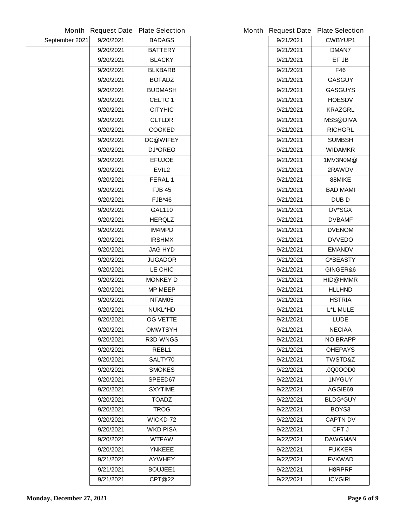|                | <b>Month Request Date</b> | <b>Plate Selection</b> | <b>Month Request Date</b> | <b>Plate Selection</b> |
|----------------|---------------------------|------------------------|---------------------------|------------------------|
| September 2021 | 9/20/2021                 | <b>BADAGS</b>          | 9/21/2021                 | <b>CWBYUP1</b>         |
|                | 9/20/2021                 | <b>BATTERY</b>         | 9/21/2021                 | <b>DMAN7</b>           |
|                | 9/20/2021                 | <b>BLACKY</b>          | 9/21/2021                 | EF JB                  |
|                | 9/20/2021                 | <b>BLKBARB</b>         | 9/21/2021                 | F46                    |
|                | 9/20/2021                 | <b>BOFADZ</b>          | 9/21/2021                 | <b>GASGUY</b>          |
|                | 9/20/2021                 | <b>BUDMASH</b>         | 9/21/2021                 | <b>GASGUYS</b>         |
|                | 9/20/2021                 | <b>CELTC1</b>          | 9/21/2021                 | <b>HOESDV</b>          |
|                | 9/20/2021                 | <b>CITYHIC</b>         | 9/21/2021                 | <b>KRAZGRL</b>         |
|                | 9/20/2021                 | <b>CLTLDR</b>          | 9/21/2021                 | <b>MSS@DIVA</b>        |
|                | 9/20/2021                 | <b>COOKED</b>          | 9/21/2021                 | <b>RICHGRL</b>         |
|                | 9/20/2021                 | <b>DC@WIFEY</b>        | 9/21/2021                 | <b>SUMBSH</b>          |
|                | 9/20/2021                 | <b>DJ*OREO</b>         | 9/21/2021                 | <b>WIDAMKR</b>         |
|                | 9/20/2021                 | <b>EFUJOE</b>          | 9/21/2021                 | 1MV3N0M@               |
|                | 9/20/2021                 | EVIL <sub>2</sub>      | 9/21/2021                 | 2RAWDV                 |
|                | 9/20/2021                 | FERAL 1                | 9/21/2021                 | 88MIKE                 |
|                | 9/20/2021                 | <b>FJB45</b>           | 9/21/2021                 | <b>BAD MAMI</b>        |
|                | 9/20/2021                 | $FJB*46$               | 9/21/2021                 | <b>DUBD</b>            |
|                | 9/20/2021                 | <b>GAL110</b>          | 9/21/2021                 | <b>DV*SGX</b>          |
|                | 9/20/2021                 | <b>HERQLZ</b>          | 9/21/2021                 | <b>DVBAMF</b>          |
|                | 9/20/2021                 | <b>IM4MPD</b>          | 9/21/2021                 | <b>DVENOM</b>          |
|                | 9/20/2021                 | <b>IRSHMX</b>          | 9/21/2021                 | <b>DVVEDO</b>          |
|                | 9/20/2021                 | <b>JAG HYD</b>         | 9/21/2021                 | <b>EMANDV</b>          |
|                | 9/20/2021                 | <b>JUGADOR</b>         | 9/21/2021                 | <b>G*BEASTY</b>        |
|                | 9/20/2021                 | LE CHIC                | 9/21/2021                 | GINGER&6               |
|                | 9/20/2021                 | <b>MONKEY D</b>        | 9/21/2021                 | <b>HID@HMMR</b>        |
|                | 9/20/2021                 | <b>MP MEEP</b>         | 9/21/2021                 | <b>HLLHND</b>          |
|                | 9/20/2021                 | NFAM05                 | 9/21/2021                 | <b>HSTRIA</b>          |
|                | 9/20/2021                 | <b>NUKL*HD</b>         | 9/21/2021                 | <b>L*L MULE</b>        |
|                | 9/20/2021                 | <b>OG VETTE</b>        | 9/21/2021                 | <b>LUDE</b>            |
|                | 9/20/2021                 | <b>OMWTSYH</b>         | 9/21/2021                 | <b>NECIAA</b>          |
|                | 9/20/2021                 | <b>R3D-WNGS</b>        | 9/21/2021                 | <b>NO BRAPP</b>        |
|                | 9/20/2021                 | REBL1                  | 9/21/2021                 | <b>OHEPAYS</b>         |
|                | 9/20/2021                 | SALTY70                | 9/21/2021                 | <b>TWSTD&amp;Z</b>     |
|                | 9/20/2021                 | <b>SMOKES</b>          | 9/22/2021                 | .0Q0OOD0               |
|                | 9/20/2021                 | SPEED67                | 9/22/2021                 | <b>1NYGUY</b>          |
|                | 9/20/2021                 | <b>SXYTIME</b>         | 9/22/2021                 | AGGIE69                |
|                | 9/20/2021                 | <b>TOADZ</b>           | 9/22/2021                 | <b>BLDG*GUY</b>        |
|                | 9/20/2021                 | <b>TROG</b>            | 9/22/2021                 | BOYS3                  |
|                | 9/20/2021                 | <b>WICKD-72</b>        | 9/22/2021                 | <b>CAPTN DV</b>        |
|                | 9/20/2021                 | <b>WKD PISA</b>        | 9/22/2021                 | <b>CPT J</b>           |
|                | 9/20/2021                 | <b>WTFAW</b>           | 9/22/2021                 | <b>DAWGMAN</b>         |
|                | 9/20/2021                 | <b>YNKEEE</b>          | 9/22/2021                 | <b>FUKKER</b>          |
|                | 9/21/2021                 | <b>AYWHEY</b>          | 9/22/2021                 | <b>FVKWAD</b>          |
|                | 9/21/2021                 | <b>BOUJEE1</b>         | 9/22/2021                 | H8RPRF                 |
|                | 9/21/2021                 | <b>CPT@22</b>          | 9/22/2021                 | <b>ICYGIRL</b>         |
|                |                           |                        |                           |                        |

|           | <b>Request Date Plate Selection</b> |
|-----------|-------------------------------------|
| 9/21/2021 | <b>CWBYUP1</b>                      |
| 9/21/2021 | <b>DMAN7</b>                        |
| 9/21/2021 | EF JB                               |
| 9/21/2021 | F46                                 |
| 9/21/2021 | <b>GASGUY</b>                       |
| 9/21/2021 | <b>GASGUYS</b>                      |
| 9/21/2021 | <b>HOESDV</b>                       |
| 9/21/2021 | <b>KRAZGRL</b>                      |
| 9/21/2021 | <b>MSS@DIVA</b>                     |
| 9/21/2021 | <b>RICHGRL</b>                      |
| 9/21/2021 | <b>SUMBSH</b>                       |
| 9/21/2021 | <b>WIDAMKR</b>                      |
| 9/21/2021 | 1MV3N0M@                            |
| 9/21/2021 | 2RAWDV                              |
| 9/21/2021 | 88MIKE                              |
| 9/21/2021 | <b>BAD MAMI</b>                     |
| 9/21/2021 | <b>DUB D</b>                        |
| 9/21/2021 | <b>DV*SGX</b>                       |
| 9/21/2021 | <b>DVBAMF</b>                       |
| 9/21/2021 | <b>DVENOM</b>                       |
| 9/21/2021 | <b>DVVEDO</b>                       |
| 9/21/2021 | <b>EMANDV</b>                       |
| 9/21/2021 | <b>G*BEASTY</b>                     |
| 9/21/2021 | <b>GINGER&amp;6</b>                 |
| 9/21/2021 | <b>HID@HMMR</b>                     |
| 9/21/2021 | <b>HLLHND</b>                       |
| 9/21/2021 | <b>HSTRIA</b>                       |
| 9/21/2021 | <b>L*L MULE</b>                     |
| 9/21/2021 | <b>LUDE</b>                         |
| 9/21/2021 | NECIAA                              |
| 9/21/2021 | NO BRAPP.                           |
| 9/21/2021 | <b>OHEPAYS</b>                      |
| 9/21/2021 | TWSTD&Z                             |
| 9/22/2021 | .0Q0OOD0                            |
| 9/22/2021 | <b>1NYGUY</b>                       |
| 9/22/2021 | AGGIE69                             |
| 9/22/2021 | <b>BLDG*GUY</b>                     |
| 9/22/2021 | <b>BOYS3</b>                        |
| 9/22/2021 | CAPTN DV                            |
| 9/22/2021 | CPT J                               |
| 9/22/2021 | DAWGMAN                             |
| 9/22/2021 | <b>FUKKER</b>                       |
| 9/22/2021 | <b>FVKWAD</b>                       |
| 9/22/2021 | <b>H8RPRF</b>                       |
| 9/22/2021 | <b>ICYGIRL</b>                      |
|           |                                     |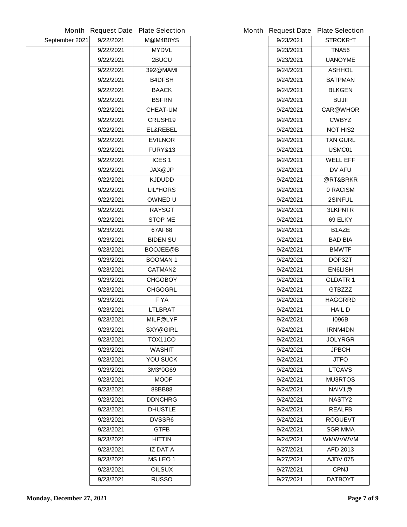|                |           | Month Request Date Plate Selection | <b>Month Request Date</b> | <b>Plate Selection</b> |
|----------------|-----------|------------------------------------|---------------------------|------------------------|
| September 2021 | 9/22/2021 | M@M4B0YS                           | 9/23/2021                 | <b>STROKR*T</b>        |
|                | 9/22/2021 | <b>MYDVL</b>                       | 9/23/2021                 | <b>TNA56</b>           |
|                | 9/22/2021 | 2BUCU                              | 9/23/2021                 | <b>UANOYME</b>         |
|                | 9/22/2021 | 392@MAMI                           | 9/24/2021                 | <b>ASHHOL</b>          |
|                | 9/22/2021 | <b>B4DFSH</b>                      | 9/24/2021                 | <b>BATPMAN</b>         |
|                | 9/22/2021 | <b>BAACK</b>                       | 9/24/2021                 | <b>BLKGEN</b>          |
|                | 9/22/2021 | <b>BSFRN</b>                       | 9/24/2021                 | <b>BUJII</b>           |
|                | 9/22/2021 | <b>CHEAT-UM</b>                    | 9/24/2021                 | <b>CAR@WHOR</b>        |
|                | 9/22/2021 | <b>CRUSH19</b>                     | 9/24/2021                 | <b>CWBYZ</b>           |
|                | 9/22/2021 | EL&REBEL                           | 9/24/2021                 | <b>NOT HIS2</b>        |
|                | 9/22/2021 | <b>EVILNOR</b>                     | 9/24/2021                 | <b>TXN GURL</b>        |
|                | 9/22/2021 | <b>FURY&amp;13</b>                 | 9/24/2021                 | USMC01                 |
|                | 9/22/2021 | ICES <sub>1</sub>                  | 9/24/2021                 | <b>WELL EFF</b>        |
|                | 9/22/2021 | <b>JAX@JP</b>                      | 9/24/2021                 | <b>DV AFU</b>          |
|                | 9/22/2021 | <b>KJDUDD</b>                      | 9/24/2021                 | @RT&BRKR               |
|                | 9/22/2021 | <b>LIL*HORS</b>                    | 9/24/2021                 | 0 RACISM               |
|                | 9/22/2021 | <b>OWNED U</b>                     | 9/24/2021                 | 2SINFUL                |
|                | 9/22/2021 | <b>RAYSGT</b>                      | 9/24/2021                 | <b>3LKPNTR</b>         |
|                | 9/22/2021 | <b>STOP ME</b>                     | 9/24/2021                 | 69 ELKY                |
|                | 9/23/2021 | 67AF68                             | 9/24/2021                 | <b>B1AZE</b>           |
|                | 9/23/2021 | <b>BIDEN SU</b>                    | 9/24/2021                 | <b>BAD BIA</b>         |
|                | 9/23/2021 | <b>BOOJEE@B</b>                    | 9/24/2021                 | <b>BMWTF</b>           |
|                | 9/23/2021 | <b>BOOMAN1</b>                     | 9/24/2021                 | DOP3ZT                 |
|                | 9/23/2021 | <b>CATMAN2</b>                     | 9/24/2021                 | <b>EN6LISH</b>         |
|                | 9/23/2021 | <b>CHGOBOY</b>                     | 9/24/2021                 | <b>GLDATR 1</b>        |
|                | 9/23/2021 | <b>CHGOGRL</b>                     | 9/24/2021                 | <b>GTBZZZ</b>          |
|                | 9/23/2021 | F YA                               | 9/24/2021                 | <b>HAGGRRD</b>         |
|                | 9/23/2021 | <b>LTLBRAT</b>                     | 9/24/2021                 | <b>HAILD</b>           |
|                | 9/23/2021 | <b>MILF@LYF</b>                    | 9/24/2021                 | 1096B                  |
|                | 9/23/2021 | <b>SXY@GIRL</b>                    | 9/24/2021                 | <b>IRNM4DN</b>         |
|                | 9/23/2021 | <b>TOX11CO</b>                     | 9/24/2021                 | <b>JOLYRGR</b>         |
|                | 9/23/2021 | <b>WASHIT</b>                      | 9/24/2021                 | <b>JPBCH</b>           |
|                | 9/23/2021 | <b>YOU SUCK</b>                    | 9/24/2021                 | <b>JTFO</b>            |
|                | 9/23/2021 | 3M3*0G69                           | 9/24/2021                 | <b>LTCAVS</b>          |
|                | 9/23/2021 | <b>MOOF</b>                        | 9/24/2021                 | <b>MU3RTOS</b>         |
|                | 9/23/2021 | 88BB88                             | 9/24/2021                 | NAIV1@                 |
|                | 9/23/2021 | <b>DDNCHRG</b>                     | 9/24/2021                 | <b>NASTY2</b>          |
|                | 9/23/2021 | <b>DHUSTLE</b>                     | 9/24/2021                 | <b>REALFB</b>          |
|                | 9/23/2021 | <b>DVSSR6</b>                      | 9/24/2021                 | <b>ROGUEVT</b>         |
|                | 9/23/2021 | <b>GTFB</b>                        | 9/24/2021                 | <b>SGR MMA</b>         |
|                | 9/23/2021 | <b>HITTIN</b>                      | 9/24/2021                 | <b>WMWVWVM</b>         |
|                | 9/23/2021 | <b>IZ DAT A</b>                    | 9/27/2021                 | <b>AFD 2013</b>        |
|                | 9/23/2021 | MS LEO 1                           | 9/27/2021                 | <b>AJDV 075</b>        |
|                | 9/23/2021 | <b>OILSUX</b>                      | 9/27/2021                 | <b>CPNJ</b>            |
|                | 9/23/2021 | <b>RUSSO</b>                       | 9/27/2021                 | <b>DATBOYT</b>         |
|                |           |                                    |                           |                        |

|           | <b>Request Date Plate Selection</b> |
|-----------|-------------------------------------|
| 9/23/2021 | STROKR*T                            |
| 9/23/2021 | TNA56                               |
| 9/23/2021 | <b>UANOYME</b>                      |
| 9/24/2021 | <b>ASHHOL</b>                       |
| 9/24/2021 | <b>BATPMAN</b>                      |
| 9/24/2021 | <b>BLKGEN</b>                       |
| 9/24/2021 | <b>BUJII</b>                        |
| 9/24/2021 | <b>CAR@WHOR</b>                     |
| 9/24/2021 | CWBYZ                               |
| 9/24/2021 | NOT HIS2                            |
| 9/24/2021 | TXN GURL                            |
| 9/24/2021 | <b>USMC01</b>                       |
| 9/24/2021 | WELL EFF                            |
| 9/24/2021 | <b>DV AFU</b>                       |
| 9/24/2021 | @RT&BRKR                            |
| 9/24/2021 | 0 RACISM                            |
| 9/24/2021 | <b>2SINFUL</b>                      |
| 9/24/2021 | <b>3LKPNTR</b>                      |
| 9/24/2021 | 69 ELKY                             |
| 9/24/2021 | <b>B1AZE</b>                        |
| 9/24/2021 | <b>BAD BIA</b>                      |
| 9/24/2021 | <b>BMWTF</b>                        |
| 9/24/2021 | DOP3ZT                              |
| 9/24/2021 | <b>EN6LISH</b>                      |
| 9/24/2021 | <b>GLDATR 1</b>                     |
| 9/24/2021 | <b>GTBZZZ</b>                       |
| 9/24/2021 | <b>HAGGRRD</b>                      |
| 9/24/2021 | HAIL D                              |
| 9/24/2021 | 1096B                               |
| 9/24/2021 | IRNM4DN                             |
| 9/24/2021 | <b>JOLYRGR</b>                      |
| 9/24/2021 | <b>JPBCH</b>                        |
| 9/24/2021 | JTFO                                |
| 9/24/2021 | <b>LTCAVS</b>                       |
| 9/24/2021 | <b>MU3RTOS</b>                      |
| 9/24/2021 | NAIV1@                              |
| 9/24/2021 | NASTY2                              |
| 9/24/2021 | <b>REALFB</b>                       |
| 9/24/2021 | <b>ROGUEVT</b>                      |
| 9/24/2021 | SGR MMA                             |
| 9/24/2021 | WMWVWVM                             |
| 9/27/2021 | <b>AFD 2013</b>                     |
| 9/27/2021 | <b>AJDV 075</b>                     |
| 9/27/2021 | <b>CPNJ</b>                         |
| 9/27/2021 | <b>DATBOYT</b>                      |
|           |                                     |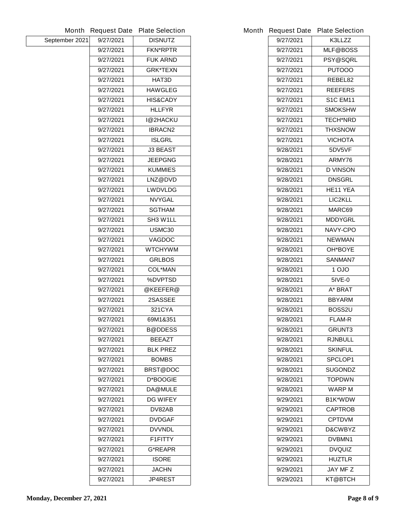| Month          | <b>Request Date</b> | <b>Plate Selection</b> |
|----------------|---------------------|------------------------|
| September 2021 | 9/27/2021           | <b>DISNUTZ</b>         |
|                | 9/27/2021           | <b>FKN*RPTR</b>        |
|                | 9/27/2021           | <b>FUK ARND</b>        |
|                | 9/27/2021           | <b>GRK*TEXN</b>        |
|                | 9/27/2021           | HAT3D                  |
|                | 9/27/2021           | <b>HAWGLEG</b>         |
|                | 9/27/2021           | <b>HIS&amp;CADY</b>    |
|                | 9/27/2021           | <b>HLLFYR</b>          |
|                | 9/27/2021           | <b>I@2HACKU</b>        |
|                | 9/27/2021           | <b>IBRACN2</b>         |
|                | 9/27/2021           | <b>ISLGRL</b>          |
|                | 9/27/2021           | J3 BEAST               |
|                | 9/27/2021           | <b>JEEPGNG</b>         |
|                | 9/27/2021           | <b>KUMMIES</b>         |
|                | 9/27/2021           | LNZ@DVD                |
|                | 9/27/2021           | <b>LWDVLDG</b>         |
|                | 9/27/2021           | <b>NVYGAL</b>          |
|                | 9/27/2021           | <b>SGTHAM</b>          |
|                | 9/27/2021           | SH3 W1LL               |
|                | 9/27/2021           | USMC30                 |
|                | 9/27/2021           | <b>VAGDOC</b>          |
|                | 9/27/2021           | <b>WTCHYWM</b>         |
|                | 9/27/2021           | <b>GRLBOS</b>          |
|                | 9/27/2021           | <b>COL*MAN</b>         |
|                | 9/27/2021           | <b>%DVPTSD</b>         |
|                | 9/27/2021           | @KEEFER@               |
|                | 9/27/2021           | <b>2SASSEE</b>         |
|                | 9/27/2021           | 321CYA                 |
|                | 9/27/2021           | 69M1&351               |
|                | 9/27/2021           | <b>B@DDESS</b>         |
|                | 9/27/2021           | <b>BEEAZT</b>          |
|                | 9/27/2021           | <b>BLK PREZ</b>        |
|                | 9/27/2021           | <b>BOMBS</b>           |
|                | 9/27/2021           | <b>BRST@DOC</b>        |
|                | 9/27/2021           | <b>D*BOOGIE</b>        |
|                | 9/27/2021           | <b>DA@MULE</b>         |
|                | 9/27/2021           | <b>DG WIFEY</b>        |
|                | 9/27/2021           | DV82AB                 |
|                | 9/27/2021           | <b>DVDGAF</b>          |
|                | 9/27/2021           | <b>DVVNDL</b>          |
|                | 9/27/2021           | <b>F1FITTY</b>         |
|                | 9/27/2021           | G*REAPR                |
|                | 9/27/2021           | <b>ISORE</b>           |
|                | 9/27/2021           | <b>JACHN</b>           |
|                | 9/27/2021           | <b>JP4REST</b>         |
|                |                     |                        |

|           | Month Request Date Plate Selection |
|-----------|------------------------------------|
| 9/27/2021 | K3LLZZ                             |
| 9/27/2021 | <b>MLF@BOSS</b>                    |
| 9/27/2021 | <b>PSY@SQRL</b>                    |
| 9/27/2021 | <b>PUTOOO</b>                      |
| 9/27/2021 | <b>REBEL82</b>                     |
| 9/27/2021 | <b>REEFERS</b>                     |
| 9/27/2021 | <b>S1C EM11</b>                    |
| 9/27/2021 | <b>SMOKSHW</b>                     |
| 9/27/2021 | <b>TECH*NRD</b>                    |
| 9/27/2021 | <b>THXSNOW</b>                     |
| 9/27/2021 | <b>VICHOTA</b>                     |
| 9/28/2021 | 5DV5VF                             |
| 9/28/2021 | ARMY76                             |
| 9/28/2021 | <b>D VINSON</b>                    |
| 9/28/2021 | <b>DNSGRL</b>                      |
| 9/28/2021 | <b>HE11 YEA</b>                    |
| 9/28/2021 | LIC2KLL                            |
| 9/28/2021 | MARC69                             |
| 9/28/2021 | <b>MDDYGRL</b>                     |
| 9/28/2021 | NAVY-CPO                           |
| 9/28/2021 | <b>NEWMAN</b>                      |
| 9/28/2021 | <b>OH*BOYE</b>                     |
| 9/28/2021 | SANMAN7                            |
| 9/28/2021 | 1 OJO                              |
| 9/28/2021 | <b>5IVE-0</b>                      |
| 9/28/2021 | A* BRAT                            |
| 9/28/2021 | <b>BBYARM</b>                      |
| 9/28/2021 | <b>BOSS2U</b>                      |
| 9/28/2021 | <b>FLAM-R</b>                      |
| 9/28/2021 | <b>GRUNT3</b>                      |
| 9/28/2021 | <b>RJNBULL</b>                     |
| 9/28/2021 | <b>SKINFUL</b>                     |
| 9/28/2021 | <b>SPCLOP1</b>                     |
| 9/28/2021 | SUGONDZ                            |
| 9/28/2021 | TOPDWN                             |
| 9/28/2021 | <b>WARP M</b>                      |
| 9/29/2021 | <b>B1K*WDW</b>                     |
| 9/29/2021 | <b>CAPTROB</b>                     |
| 9/29/2021 | <b>CPTDVM</b>                      |
| 9/29/2021 | <b>D&amp;CWBYZ</b>                 |
| 9/29/2021 | <b>DVBMN1</b>                      |
| 9/29/2021 | <b>DVQUIZ</b>                      |
| 9/29/2021 | <b>HUZTLR</b>                      |
| 9/29/2021 | JAY MF Z                           |
| 9/29/2021 | KT@BTCH                            |